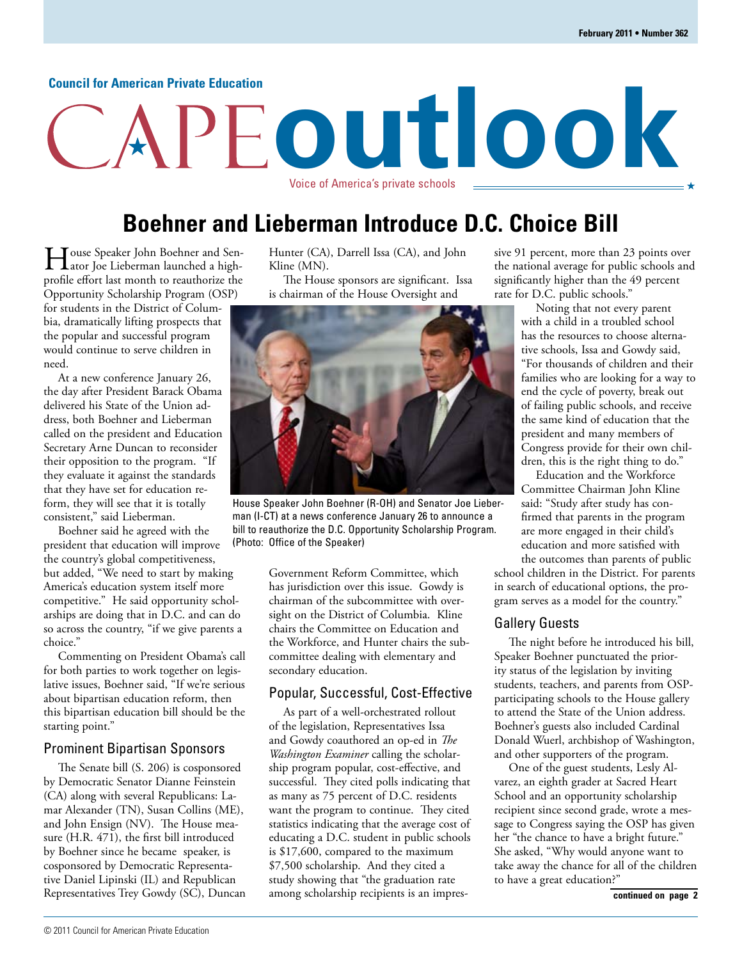#### **Council for American Private Education**

## **Boehner and Lieberman Introduce D.C. Choice Bill**

Voice of America's private schools

**outlook**

House Speaker John Boehner and Senprofile effort last month to reauthorize the Opportunity Scholarship Program (OSP) for students in the District of Columbia, dramatically lifting prospects that the popular and successful program would continue to serve children in need.

At a new conference January 26, the day after President Barack Obama delivered his State of the Union address, both Boehner and Lieberman called on the president and Education Secretary Arne Duncan to reconsider their opposition to the program. "If they evaluate it against the standards that they have set for education reform, they will see that it is totally consistent," said Lieberman.

Boehner said he agreed with the president that education will improve the country's global competitiveness, but added, "We need to start by making America's education system itself more competitive." He said opportunity scholarships are doing that in D.C. and can do so across the country, "if we give parents a choice."

Commenting on President Obama's call for both parties to work together on legislative issues, Boehner said, "If we're serious about bipartisan education reform, then this bipartisan education bill should be the starting point."

#### Prominent Bipartisan Sponsors

The Senate bill (S. 206) is cosponsored by Democratic Senator Dianne Feinstein (CA) along with several Republicans: Lamar Alexander (TN), Susan Collins (ME), and John Ensign (NV). The House measure (H.R. 471), the first bill introduced by Boehner since he became speaker, is cosponsored by Democratic Representative Daniel Lipinski (IL) and Republican Representatives Trey Gowdy (SC), Duncan Hunter (CA), Darrell Issa (CA), and John Kline (MN).

The House sponsors are significant. Issa is chairman of the House Oversight and



House Speaker John Boehner (R-OH) and Senator Joe Lieberman (I-CT) at a news conference January 26 to announce a bill to reauthorize the D.C. Opportunity Scholarship Program. (Photo: Office of the Speaker)

Government Reform Committee, which has jurisdiction over this issue. Gowdy is chairman of the subcommittee with oversight on the District of Columbia. Kline chairs the Committee on Education and the Workforce, and Hunter chairs the subcommittee dealing with elementary and secondary education.

#### Popular, Successful, Cost-Effective

As part of a well-orchestrated rollout of the legislation, Representatives Issa and Gowdy coauthored an op-ed in *The Washington Examiner* calling the scholarship program popular, cost-effective, and successful. They cited polls indicating that as many as 75 percent of D.C. residents want the program to continue. They cited statistics indicating that the average cost of educating a D.C. student in public schools is \$17,600, compared to the maximum \$7,500 scholarship. And they cited a study showing that "the graduation rate among scholarship recipients is an impressive 91 percent, more than 23 points over the national average for public schools and significantly higher than the 49 percent rate for D.C. public schools."

Noting that not every parent with a child in a troubled school has the resources to choose alternative schools, Issa and Gowdy said, "For thousands of children and their families who are looking for a way to end the cycle of poverty, break out of failing public schools, and receive the same kind of education that the president and many members of Congress provide for their own children, this is the right thing to do."

Education and the Workforce Committee Chairman John Kline said: "Study after study has confirmed that parents in the program are more engaged in their child's education and more satisfied with the outcomes than parents of public

school children in the District. For parents in search of educational options, the program serves as a model for the country."

#### Gallery Guests

The night before he introduced his bill, Speaker Boehner punctuated the priority status of the legislation by inviting students, teachers, and parents from OSPparticipating schools to the House gallery to attend the State of the Union address. Boehner's guests also included Cardinal Donald Wuerl, archbishop of Washington, and other supporters of the program.

One of the guest students, Lesly Alvarez, an eighth grader at Sacred Heart School and an opportunity scholarship recipient since second grade, wrote a message to Congress saying the OSP has given her "the chance to have a bright future." She asked, "Why would anyone want to take away the chance for all of the children to have a great education?"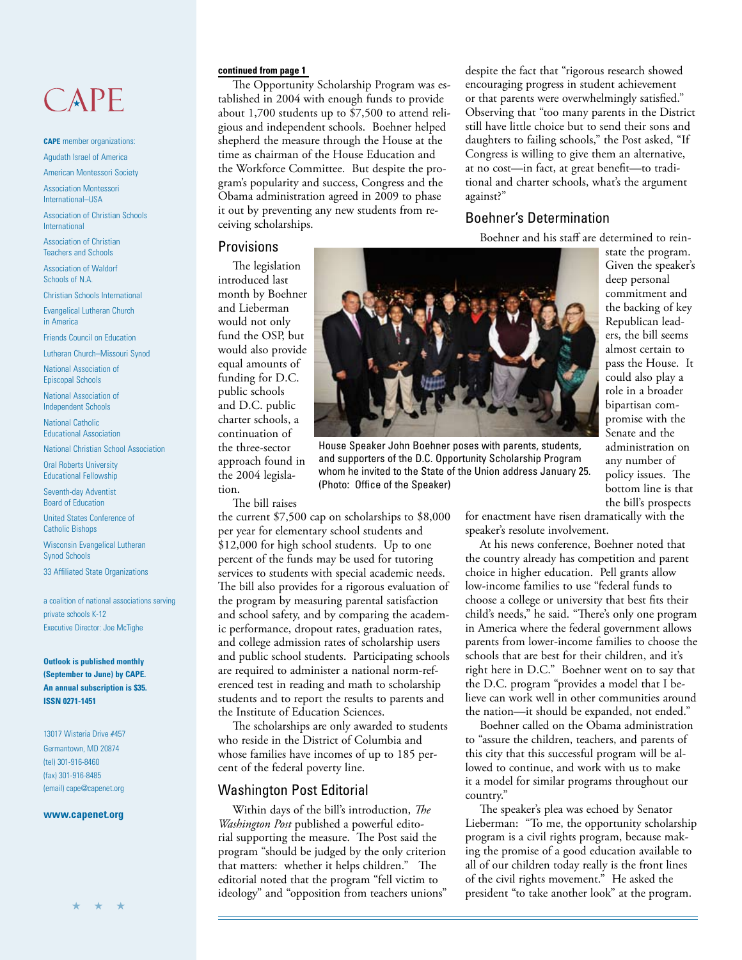# CAPE

**CAPE** member organizations: Agudath Israel of America

American Montessori Society

Association Montessori International–USA

Association of Christian Schools International

Association of Christian Teachers and Schools

Association of Waldorf Schools of N.A.

Christian Schools International

Evangelical Lutheran Church in America

Friends Council on Education

Lutheran Church–Missouri Synod

National Association of Episcopal Schools

National Association of Independent Schools

National Catholic Educational Association

National Christian School Association

Oral Roberts University Educational Fellowship

Seventh-day Adventist Board of Education

United States Conference of Catholic Bishops

Wisconsin Evangelical Lutheran Synod Schools

33 Affiliated State Organizations

a coalition of national associations serving private schools K-12 Executive Director: Joe McTighe

**Outlook is published monthly (September to June) by CAPE. An annual subscription is \$35. ISSN 0271-1451**

13017 Wisteria Drive #457 Germantown, MD 20874 (tel) 301-916-8460 (fax) 301-916-8485 (email) cape@capenet.org

#### **www.capenet.org**

The Opportunity Scholarship Program was established in 2004 with enough funds to provide about 1,700 students up to \$7,500 to attend religious and independent schools. Boehner helped shepherd the measure through the House at the time as chairman of the House Education and the Workforce Committee. But despite the program's popularity and success, Congress and the Obama administration agreed in 2009 to phase it out by preventing any new students from receiving scholarships.

**continued from page 1** despite the fact that "rigorous research showed encouraging progress in student achievement or that parents were overwhelmingly satisfied." Observing that "too many parents in the District still have little choice but to send their sons and daughters to failing schools," the Post asked, "If Congress is willing to give them an alternative, at no cost—in fact, at great benefit—to traditional and charter schools, what's the argument against?"

### Boehner's Determination

Boehner and his staff are determined to rein-

#### **Provisions**

The legislation introduced last month by Boehner and Lieberman would not only fund the OSP, but would also provide equal amounts of funding for D.C. public schools and D.C. public charter schools, a continuation of the three-sector approach found in the 2004 legislation.

The bill raises

the current \$7,500 cap on scholarships to \$8,000 per year for elementary school students and \$12,000 for high school students. Up to one percent of the funds may be used for tutoring services to students with special academic needs. The bill also provides for a rigorous evaluation of the program by measuring parental satisfaction and school safety, and by comparing the academic performance, dropout rates, graduation rates, and college admission rates of scholarship users and public school students. Participating schools are required to administer a national norm-referenced test in reading and math to scholarship students and to report the results to parents and the Institute of Education Sciences.

The scholarships are only awarded to students who reside in the District of Columbia and whose families have incomes of up to 185 percent of the federal poverty line.

#### Washington Post Editorial

Within days of the bill's introduction, *The Washington Post* published a powerful editorial supporting the measure. The Post said the program "should be judged by the only criterion that matters: whether it helps children." The editorial noted that the program "fell victim to ideology" and "opposition from teachers unions"



House Speaker John Boehner poses with parents, students, and supporters of the D.C. Opportunity Scholarship Program whom he invited to the State of the Union address January 25. (Photo: Office of the Speaker)

state the program. Given the speaker's deep personal commitment and the backing of key Republican leaders, the bill seems almost certain to pass the House. It could also play a role in a broader bipartisan compromise with the Senate and the administration on any number of policy issues. The bottom line is that the bill's prospects

for enactment have risen dramatically with the speaker's resolute involvement.

At his news conference, Boehner noted that the country already has competition and parent choice in higher education. Pell grants allow low-income families to use "federal funds to choose a college or university that best fits their child's needs," he said. "There's only one program in America where the federal government allows parents from lower-income families to choose the schools that are best for their children, and it's right here in D.C." Boehner went on to say that the D.C. program "provides a model that I believe can work well in other communities around the nation—it should be expanded, not ended."

Boehner called on the Obama administration to "assure the children, teachers, and parents of this city that this successful program will be allowed to continue, and work with us to make it a model for similar programs throughout our country."

The speaker's plea was echoed by Senator Lieberman: "To me, the opportunity scholarship program is a civil rights program, because making the promise of a good education available to all of our children today really is the front lines of the civil rights movement." He asked the president "to take another look" at the program.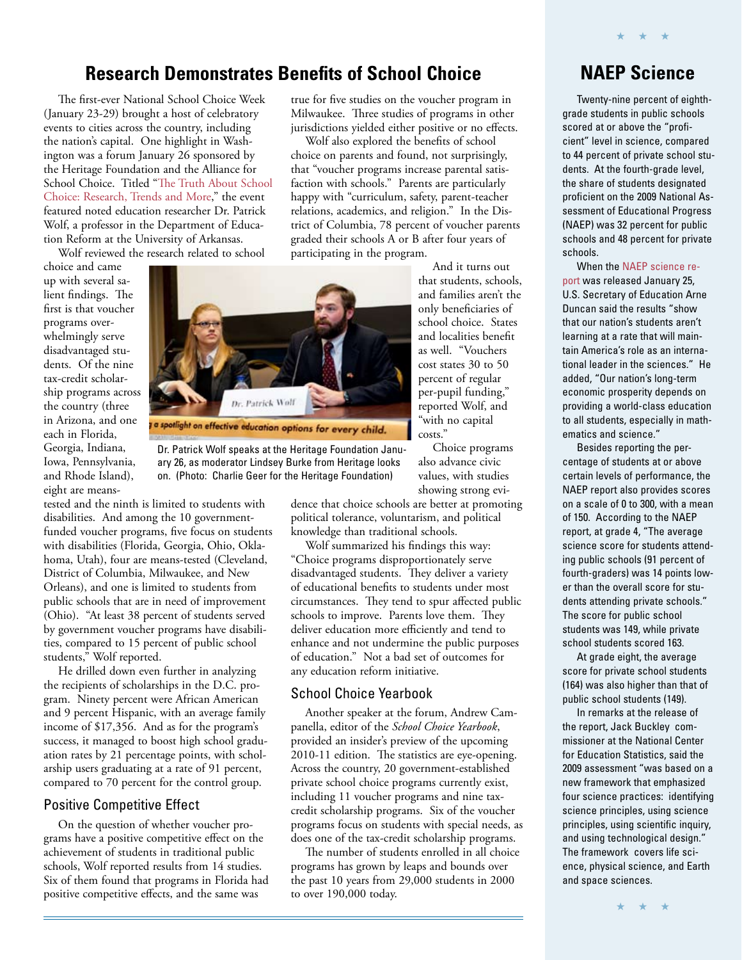### **Research Demonstrates Benefits of School Choice**

The first-ever National School Choice Week (January 23-29) brought a host of celebratory events to cities across the country, including the nation's capital. One highlight in Washington was a forum January 26 sponsored by the Heritage Foundation and the Alliance for [School Choice. Titled "The Truth About School](http://www.heritage.org/Events/2011/01/School-Choice)  Choice: Research, Trends and More," the event featured noted education researcher Dr. Patrick Wolf, a professor in the Department of Education Reform at the University of Arkansas.

Wolf reviewed the research related to school

choice and came up with several salient findings. The first is that voucher programs overwhelmingly serve disadvantaged students. Of the nine tax-credit scholarship programs across the country (three in Arizona, and one each in Florida, Georgia, Indiana, Iowa, Pennsylvania, and Rhode Island), eight are means-



Dr. Patrick Wolf speaks at the Heritage Foundation January 26, as moderator Lindsey Burke from Heritage looks on. (Photo: Charlie Geer for the Heritage Foundation)

tested and the ninth is limited to students with disabilities. And among the 10 governmentfunded voucher programs, five focus on students with disabilities (Florida, Georgia, Ohio, Oklahoma, Utah), four are means-tested (Cleveland, District of Columbia, Milwaukee, and New Orleans), and one is limited to students from public schools that are in need of improvement (Ohio). "At least 38 percent of students served by government voucher programs have disabilities, compared to 15 percent of public school students," Wolf reported.

He drilled down even further in analyzing the recipients of scholarships in the D.C. program. Ninety percent were African American and 9 percent Hispanic, with an average family income of \$17,356. And as for the program's success, it managed to boost high school graduation rates by 21 percentage points, with scholarship users graduating at a rate of 91 percent, compared to 70 percent for the control group.

#### Positive Competitive Effect

On the question of whether voucher programs have a positive competitive effect on the achievement of students in traditional public schools, Wolf reported results from 14 studies. Six of them found that programs in Florida had positive competitive effects, and the same was

true for five studies on the voucher program in Milwaukee. Three studies of programs in other jurisdictions yielded either positive or no effects.

Wolf also explored the benefits of school choice on parents and found, not surprisingly, that "voucher programs increase parental satisfaction with schools." Parents are particularly happy with "curriculum, safety, parent-teacher relations, academics, and religion." In the District of Columbia, 78 percent of voucher parents graded their schools A or B after four years of participating in the program.

> And it turns out that students, schools, and families aren't the only beneficiaries of school choice. States and localities benefit as well. "Vouchers cost states 30 to 50 percent of regular per-pupil funding," reported Wolf, and "with no capital costs."

Choice programs also advance civic values, with studies showing strong evi-

dence that choice schools are better at promoting political tolerance, voluntarism, and political knowledge than traditional schools.

Wolf summarized his findings this way: "Choice programs disproportionately serve disadvantaged students. They deliver a variety of educational benefits to students under most circumstances. They tend to spur affected public schools to improve. Parents love them. They deliver education more efficiently and tend to enhance and not undermine the public purposes of education." Not a bad set of outcomes for any education reform initiative.

#### School Choice Yearbook

Another speaker at the forum, Andrew Campanella, editor of the *School Choice Yearbook*, provided an insider's preview of the upcoming 2010-11 edition. The statistics are eye-opening. Across the country, 20 government-established private school choice programs currently exist, including 11 voucher programs and nine taxcredit scholarship programs. Six of the voucher programs focus on students with special needs, as does one of the tax-credit scholarship programs.

The number of students enrolled in all choice programs has grown by leaps and bounds over the past 10 years from 29,000 students in 2000 to over 190,000 today.

## **NAEP Science**

★ ★ ★

Twenty-nine percent of eighthgrade students in public schools scored at or above the "proficient" level in science, compared to 44 percent of private school students. At the fourth-grade level. the share of students designated proficient on the 2009 National Assessment of Educational Progress (NAEP) was 32 percent for public schools and 48 percent for private schools.

When the NAEP science re[port was released January 25,](http://nces.ed.gov/pubsearch/pubsinfo.asp?pubid=2011451)  U.S. Secretary of Education Arne Duncan said the results "show that our nation's students aren't learning at a rate that will maintain America's role as an international leader in the sciences." He added, "Our nation's long-term economic prosperity depends on providing a world-class education to all students, especially in mathematics and science."

Besides reporting the percentage of students at or above certain levels of performance, the NAEP report also provides scores on a scale of 0 to 300, with a mean of 150. According to the NAEP report, at grade 4, "The average science score for students attending public schools (91 percent of fourth-graders) was 14 points lower than the overall score for students attending private schools." The score for public school students was 149, while private school students scored 163.

At grade eight, the average score for private school students (164) was also higher than that of public school students (149).

In remarks at the release of the report, Jack Buckley commissioner at the National Center for Education Statistics, said the 2009 assessment "was based on a new framework that emphasized four science practices: identifying science principles, using science principles, using scientific inquiry, and using technological design." The framework covers life science, physical science, and Earth and space sciences.

★ ★ ★